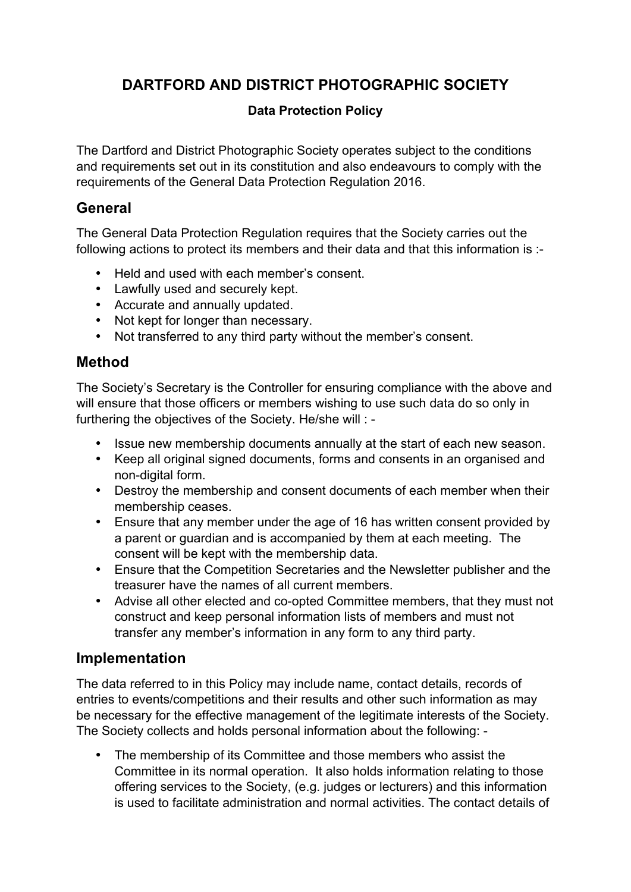# **DARTFORD AND DISTRICT PHOTOGRAPHIC SOCIETY**

#### **Data Protection Policy**

The Dartford and District Photographic Society operates subject to the conditions and requirements set out in its constitution and also endeavours to comply with the requirements of the General Data Protection Regulation 2016.

#### **General**

The General Data Protection Regulation requires that the Society carries out the following actions to protect its members and their data and that this information is :-

- Held and used with each member's consent.
- Lawfully used and securely kept.
- Accurate and annually updated.
- Not kept for longer than necessary.
- Not transferred to any third party without the member's consent.

### **Method**

The Society's Secretary is the Controller for ensuring compliance with the above and will ensure that those officers or members wishing to use such data do so only in furthering the objectives of the Society. He/she will : -

- Issue new membership documents annually at the start of each new season.
- Keep all original signed documents, forms and consents in an organised and non-digital form.
- Destroy the membership and consent documents of each member when their membership ceases.
- Ensure that any member under the age of 16 has written consent provided by a parent or guardian and is accompanied by them at each meeting. The consent will be kept with the membership data.
- Ensure that the Competition Secretaries and the Newsletter publisher and the treasurer have the names of all current members.
- Advise all other elected and co-opted Committee members, that they must not construct and keep personal information lists of members and must not transfer any member's information in any form to any third party.

### **Implementation**

The data referred to in this Policy may include name, contact details, records of entries to events/competitions and their results and other such information as may be necessary for the effective management of the legitimate interests of the Society. The Society collects and holds personal information about the following: -

• The membership of its Committee and those members who assist the Committee in its normal operation. It also holds information relating to those offering services to the Society, (e.g. judges or lecturers) and this information is used to facilitate administration and normal activities. The contact details of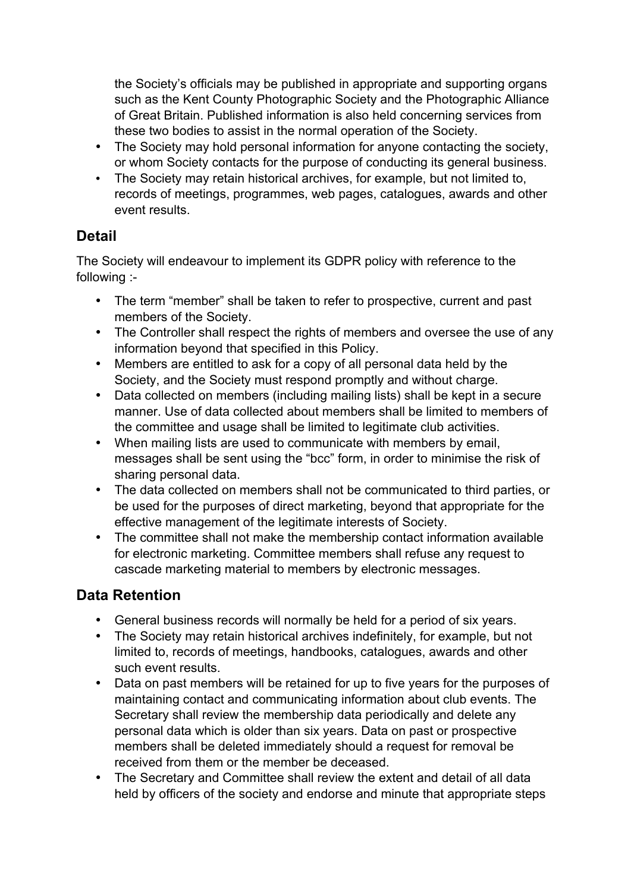the Society's officials may be published in appropriate and supporting organs such as the Kent County Photographic Society and the Photographic Alliance of Great Britain. Published information is also held concerning services from these two bodies to assist in the normal operation of the Society.

- The Society may hold personal information for anyone contacting the society, or whom Society contacts for the purpose of conducting its general business.
- The Society may retain historical archives, for example, but not limited to, records of meetings, programmes, web pages, catalogues, awards and other event results.

### **Detail**

The Society will endeavour to implement its GDPR policy with reference to the following :-

- The term "member" shall be taken to refer to prospective, current and past members of the Society.
- The Controller shall respect the rights of members and oversee the use of any information beyond that specified in this Policy.
- Members are entitled to ask for a copy of all personal data held by the Society, and the Society must respond promptly and without charge.
- Data collected on members (including mailing lists) shall be kept in a secure manner. Use of data collected about members shall be limited to members of the committee and usage shall be limited to legitimate club activities.
- When mailing lists are used to communicate with members by email, messages shall be sent using the "bcc" form, in order to minimise the risk of sharing personal data.
- The data collected on members shall not be communicated to third parties, or be used for the purposes of direct marketing, beyond that appropriate for the effective management of the legitimate interests of Society.
- The committee shall not make the membership contact information available for electronic marketing. Committee members shall refuse any request to cascade marketing material to members by electronic messages.

# **Data Retention**

- General business records will normally be held for a period of six years.
- The Society may retain historical archives indefinitely, for example, but not limited to, records of meetings, handbooks, catalogues, awards and other such event results.
- Data on past members will be retained for up to five years for the purposes of maintaining contact and communicating information about club events. The Secretary shall review the membership data periodically and delete any personal data which is older than six years. Data on past or prospective members shall be deleted immediately should a request for removal be received from them or the member be deceased.
- The Secretary and Committee shall review the extent and detail of all data held by officers of the society and endorse and minute that appropriate steps